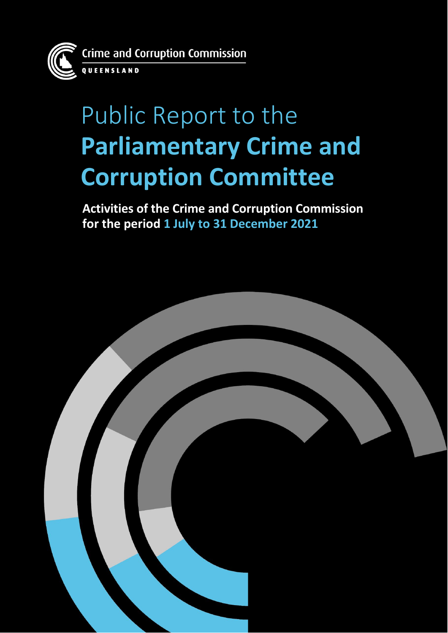UEENSLAND

**Crime and Corruption Commission** 

# Public Report to the **Parliamentary Crime and Corruption Committee**

**Activities of the Crime and Corruption Commission for the period 1 July to 31 December 2021**

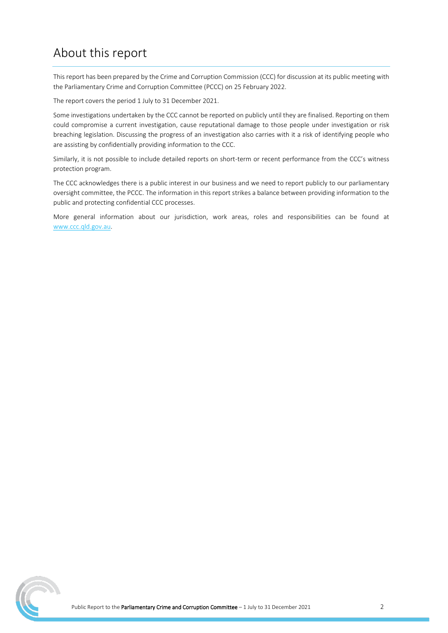## <span id="page-1-0"></span>About this report

This report has been prepared by the Crime and Corruption Commission (CCC) for discussion at its public meeting with the Parliamentary Crime and Corruption Committee (PCCC) on 25 February 2022.

The report covers the period 1 July to 31 December 2021.

Some investigations undertaken by the CCC cannot be reported on publicly until they are finalised. Reporting on them could compromise a current investigation, cause reputational damage to those people under investigation or risk breaching legislation. Discussing the progress of an investigation also carries with it a risk of identifying people who are assisting by confidentially providing information to the CCC.

Similarly, it is not possible to include detailed reports on short-term or recent performance from the CCC's witness protection program.

The CCC acknowledges there is a public interest in our business and we need to report publicly to our parliamentary oversight committee, the PCCC. The information in this report strikes a balance between providing information to the public and protecting confidential CCC processes.

More general information about our jurisdiction, work areas, roles and responsibilities can be found at [www.ccc.qld.gov.au.](http://www.ccc.qld.gov.au/)

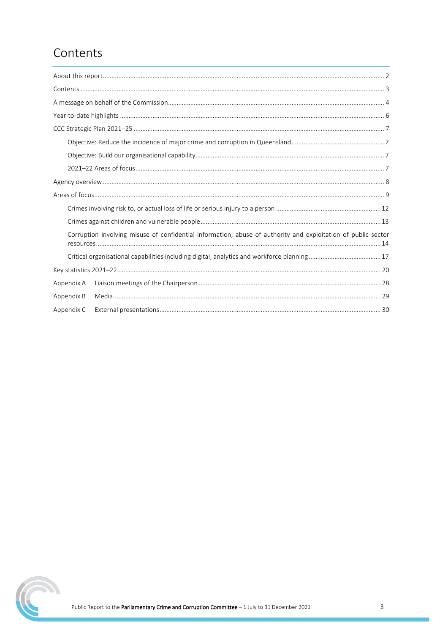## <span id="page-2-0"></span>Contents

| Corruption involving misuse of confidential information, abuse of authority and exploitation of public sector |
|---------------------------------------------------------------------------------------------------------------|
|                                                                                                               |
|                                                                                                               |
| Appendix A                                                                                                    |
| Appendix B                                                                                                    |
| Appendix C                                                                                                    |

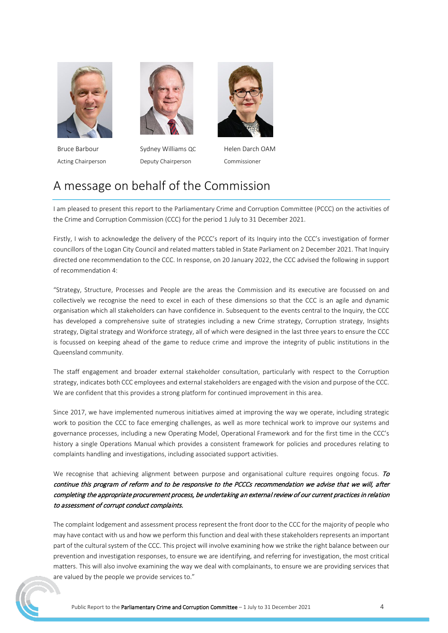

Bruce Barbour Acting Chairperson



Sydney Williams QC Deputy Chairperson



Helen Darch OAM

#### Commissioner

### <span id="page-3-0"></span>A message on behalf of the Commission

I am pleased to present this report to the Parliamentary Crime and Corruption Committee (PCCC) on the activities of the Crime and Corruption Commission (CCC) for the period 1 July to 31 December 2021.

Firstly, I wish to acknowledge the delivery of the PCCC's report of its Inquiry into the CCC's investigation of former councillors of the Logan City Council and related matters tabled in State Parliament on 2 December 2021. That Inquiry directed one recommendation to the CCC. In response, on 20 January 2022, the CCC advised the following in support of recommendation 4:

"Strategy, Structure, Processes and People are the areas the Commission and its executive are focussed on and collectively we recognise the need to excel in each of these dimensions so that the CCC is an agile and dynamic organisation which all stakeholders can have confidence in. Subsequent to the events central to the Inquiry, the CCC has developed a comprehensive suite of strategies including a new Crime strategy, Corruption strategy, Insights strategy, Digital strategy and Workforce strategy, all of which were designed in the last three years to ensure the CCC is focussed on keeping ahead of the game to reduce crime and improve the integrity of public institutions in the Queensland community.

The staff engagement and broader external stakeholder consultation, particularly with respect to the Corruption strategy, indicates both CCC employees and external stakeholders are engaged with the vision and purpose of the CCC. We are confident that this provides a strong platform for continued improvement in this area.

Since 2017, we have implemented numerous initiatives aimed at improving the way we operate, including strategic work to position the CCC to face emerging challenges, as well as more technical work to improve our systems and governance processes, including a new Operating Model, Operational Framework and for the first time in the CCC's history a single Operations Manual which provides a consistent framework for policies and procedures relating to complaints handling and investigations, including associated support activities.

We recognise that achieving alignment between purpose and organisational culture requires ongoing focus. To continue this program of reform and to be responsive to the PCCCs recommendation we advise that we will, after completing the appropriate procurement process, be undertaking an external review of our current practices in relation to assessment of corrupt conduct complaints.

The complaint lodgement and assessment process represent the front door to the CCC for the majority of people who may have contact with us and how we perform this function and deal with these stakeholders represents an important part of the cultural system of the CCC. This project will involve examining how we strike the right balance between our prevention and investigation responses, to ensure we are identifying, and referring for investigation, the most critical matters. This will also involve examining the way we deal with complainants, to ensure we are providing services that are valued by the people we provide services to."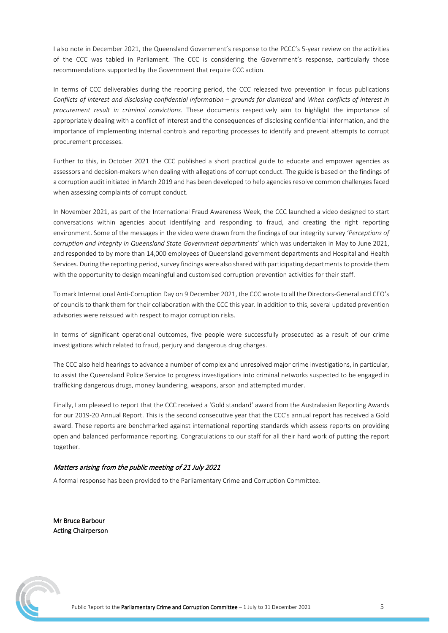I also note in December 2021, the Queensland Government's response to the PCCC's 5-year review on the activities of the CCC was tabled in Parliament. The CCC is considering the Government's response, particularly those recommendations supported by the Government that require CCC action.

In terms of CCC deliverables during the reporting period, the CCC released two prevention in focus publications *Conflicts of interest and disclosing confidential information – grounds for dismissal* and *When conflicts of interest in procurement result in criminal convictions.* These documents respectively aim to highlight the importance of appropriately dealing with a conflict of interest and the consequences of disclosing confidential information, and the importance of implementing internal controls and reporting processes to identify and prevent attempts to corrupt procurement processes.

Further to this, in October 2021 the CCC published a short practical guide to educate and empower agencies as assessors and decision-makers when dealing with allegations of corrupt conduct. The guide is based on the findings of a corruption audit initiated in March 2019 and has been developed to help agencies resolve common challenges faced when assessing complaints of corrupt conduct.

In November 2021, as part of the International Fraud Awareness Week, the CCC launched a video designed to start conversations within agencies about identifying and responding to fraud, and creating the right reporting environment. Some of the messages in the video were drawn from the findings of our integrity survey '*Perceptions of corruption and integrity in Queensland State Government departments*' which was undertaken in May to June 2021, and responded to by more than 14,000 employees of Queensland government departments and Hospital and Health Services. During the reporting period, survey findings were also shared with participating departments to provide them with the opportunity to design meaningful and customised corruption prevention activities for their staff.

To mark International Anti-Corruption Day on 9 December 2021, the CCC wrote to all the Directors-General and CEO's of councils to thank them for their collaboration with the CCC this year. In addition to this, several updated prevention advisories were reissued with respect to major corruption risks.

In terms of significant operational outcomes, five people were successfully prosecuted as a result of our crime investigations which related to fraud, perjury and dangerous drug charges.

The CCC also held hearings to advance a number of complex and unresolved major crime investigations, in particular, to assist the Queensland Police Service to progress investigations into criminal networks suspected to be engaged in trafficking dangerous drugs, money laundering, weapons, arson and attempted murder.

Finally, I am pleased to report that the CCC received a 'Gold standard' award from the Australasian Reporting Awards for our 2019-20 Annual Report. This is the second consecutive year that the CCC's annual report has received a Gold award. These reports are benchmarked against international reporting standards which assess reports on providing open and balanced performance reporting. Congratulations to our staff for all their hard work of putting the report together.

#### Matters arising from the public meeting of 21 July 2021

A formal response has been provided to the Parliamentary Crime and Corruption Committee.

Mr Bruce Barbour Acting Chairperson

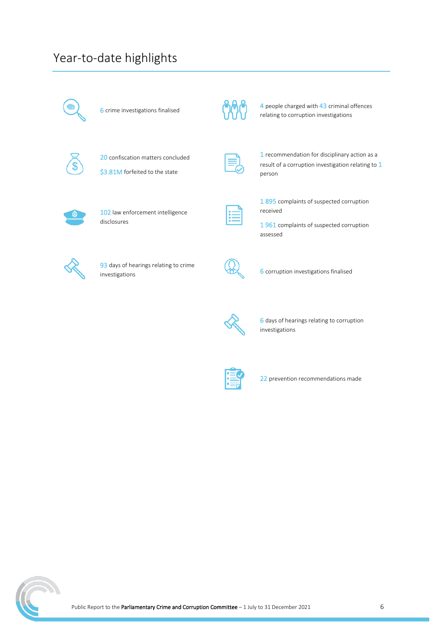## <span id="page-5-0"></span>Year-to-date highlights



6 crime investigations finalised



4 people charged with 43 criminal offences relating to corruption investigations



20 confiscation matters concluded

\$3.81M forfeited to the state



1 recommendation for disciplinary action as a result of a corruption investigation relating to 1 person



102 law enforcement intelligence disclosures



1 895 complaints of suspected corruption received

1 961 complaints of suspected corruption assessed



93 days of hearings relating to crime investigations finalised<br>investigations finalised





6 days of hearings relating to corruption investigations



22 prevention recommendations made

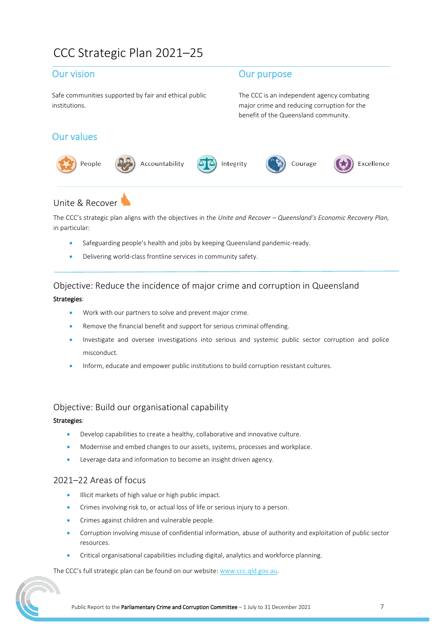## <span id="page-6-0"></span>CCC Strategic Plan 2021–25

Safe communities supported by fair and ethical public institutions.

#### Our vision and the contract of the Contract of Contract of Contract of Contract of Contract of Contract of Contract of Contract of Contract of Contract of Contract of Contract of Contract of Contract of Contract of Contrac

The CCC is an independent agency combating major crime and reducing corruption for the benefit of the Queensland community.

### Our values



#### Unite & Recover

The CCC's strategic plan aligns with the objectives in the *Unite and Recover – Queensland's Economic Recovery Plan,* in particular:

- Safeguarding people's health and jobs by keeping Queensland pandemic-ready.
- Delivering world-class frontline services in community safety.

### <span id="page-6-1"></span>Objective: Reduce the incidence of major crime and corruption in Queensland

#### Strategies:

- Work with our partners to solve and prevent major crime.
- Remove the financial benefit and support for serious criminal offending.
- Investigate and oversee investigations into serious and systemic public sector corruption and police misconduct.
- Inform, educate and empower public institutions to build corruption resistant cultures.

#### <span id="page-6-2"></span>Objective: Build our organisational capability

#### Strategies:

- Develop capabilities to create a healthy, collaborative and innovative culture.
- Modernise and embed changes to our assets, systems, processes and workplace.
- Leverage data and information to become an insight driven agency.

#### <span id="page-6-3"></span>2021–22 Areas of focus

- Illicit markets of high value or high public impact.
- Crimes involving risk to, or actual loss of life or serious injury to a person.
- Crimes against children and vulnerable people.
- Corruption involving misuse of confidential information, abuse of authority and exploitation of public sector resources.
- Critical organisational capabilities including digital, analytics and workforce planning.

The CCC's full strategic plan can be found on our website[: www.ccc.qld.gov.au.](http://www.ccc.qld.gov.au/) .

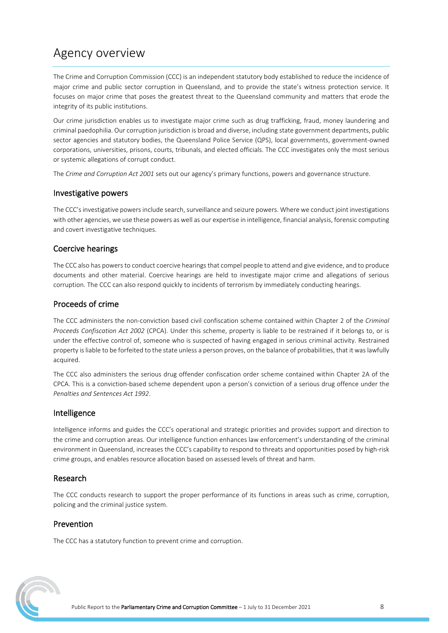## <span id="page-7-0"></span>Agency overview

The Crime and Corruption Commission (CCC) is an independent statutory body established to reduce the incidence of major crime and public sector corruption in Queensland, and to provide the state's witness protection service. It focuses on major crime that poses the greatest threat to the Queensland community and matters that erode the integrity of its public institutions.

Our crime jurisdiction enables us to investigate major crime such as drug trafficking, fraud, money laundering and criminal paedophilia. Our corruption jurisdiction is broad and diverse, including state government departments, public sector agencies and statutory bodies, the Queensland Police Service (QPS), local governments, government-owned corporations, universities, prisons, courts, tribunals, and elected officials. The CCC investigates only the most serious or systemic allegations of corrupt conduct.

The *Crime and Corruption Act 2001* sets out our agency's primary functions, powers and governance structure.

#### Investigative powers

The CCC's investigative powers include search, surveillance and seizure powers. Where we conduct joint investigations with other agencies, we use these powers as well as our expertise in intelligence, financial analysis, forensic computing and covert investigative techniques.

#### Coercive hearings

The CCC also has powers to conduct coercive hearings that compel people to attend and give evidence, and to produce documents and other material. Coercive hearings are held to investigate major crime and allegations of serious corruption. The CCC can also respond quickly to incidents of terrorism by immediately conducting hearings.

#### Proceeds of crime

The CCC administers the non-conviction based civil confiscation scheme contained within Chapter 2 of the *Criminal Proceeds Confiscation Act 2002* (CPCA). Under this scheme, property is liable to be restrained if it belongs to, or is under the effective control of, someone who is suspected of having engaged in serious criminal activity. Restrained property is liable to be forfeited to the state unless a person proves, on the balance of probabilities, that it was lawfully acquired.

The CCC also administers the serious drug offender confiscation order scheme contained within Chapter 2A of the CPCA. This is a conviction-based scheme dependent upon a person's conviction of a serious drug offence under the *Penalties and Sentences Act 1992*.

#### Intelligence

Intelligence informs and guides the CCC's operational and strategic priorities and provides support and direction to the crime and corruption areas. Our intelligence function enhances law enforcement's understanding of the criminal environment in Queensland, increases the CCC's capability to respond to threats and opportunities posed by high-risk crime groups, and enables resource allocation based on assessed levels of threat and harm.

#### Research

The CCC conducts research to support the proper performance of its functions in areas such as crime, corruption, policing and the criminal justice system.

#### Prevention

The CCC has a statutory function to prevent crime and corruption.

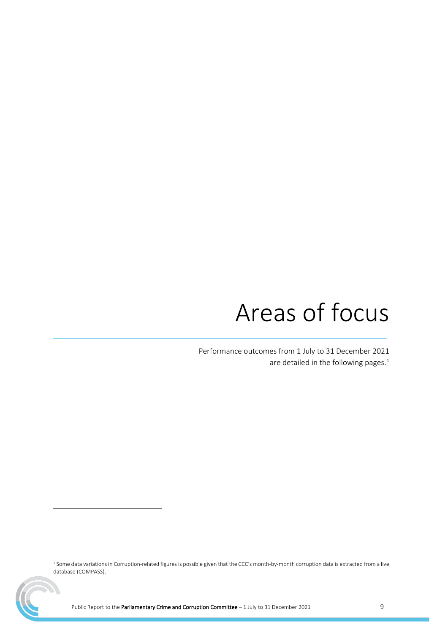## Areas of focus

Performance outcomes from 1 July to 31 December 2021 are detailed in the following pages.<sup>[1](#page-8-1)</sup>

<span id="page-8-0"></span> $\_$  , and the set of the set of the set of the set of the set of the set of the set of the set of the set of the set of the set of the set of the set of the set of the set of the set of the set of the set of the set of th

<span id="page-8-1"></span>

Public Report to the Parliamentary Crime and Corruption Committee – 1 July to 31 December 2021

<sup>&</sup>lt;sup>1</sup> Some data variations in Corruption-related figures is possible given that the CCC's month-by-month corruption data is extracted from a live database (COMPASS).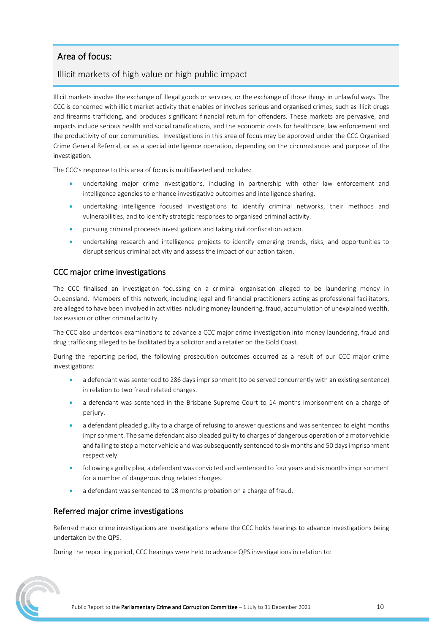### Area of focus:

#### Illicit markets of high value or high public impact

Illicit markets involve the exchange of illegal goods or services, or the exchange of those things in unlawful ways. The CCC is concerned with illicit market activity that enables or involves serious and organised crimes, such as illicit drugs and firearms trafficking, and produces significant financial return for offenders. These markets are pervasive, and impacts include serious health and social ramifications, and the economic costs for healthcare, law enforcement and the productivity of our communities. Investigations in this area of focus may be approved under the CCC Organised Crime General Referral, or as a special intelligence operation, depending on the circumstances and purpose of the investigation.

The CCC's response to this area of focus is multifaceted and includes:

- undertaking major crime investigations, including in partnership with other law enforcement and intelligence agencies to enhance investigative outcomes and intelligence sharing.
- undertaking intelligence focused investigations to identify criminal networks, their methods and vulnerabilities, and to identify strategic responses to organised criminal activity.
- pursuing criminal proceeds investigations and taking civil confiscation action.
- undertaking research and intelligence projects to identify emerging trends, risks, and opportunities to disrupt serious criminal activity and assess the impact of our action taken.

#### CCC major crime investigations

The CCC finalised an investigation focussing on a criminal organisation alleged to be laundering money in Queensland. Members of this network, including legal and financial practitioners acting as professional facilitators, are alleged to have been involved in activities including money laundering, fraud, accumulation of unexplained wealth, tax evasion or other criminal activity.

The CCC also undertook examinations to advance a CCC major crime investigation into money laundering, fraud and drug trafficking alleged to be facilitated by a solicitor and a retailer on the Gold Coast.

During the reporting period, the following prosecution outcomes occurred as a result of our CCC major crime investigations:

- a defendant was sentenced to 286 days imprisonment (to be served concurrently with an existing sentence) in relation to two fraud related charges.
- a defendant was sentenced in the Brisbane Supreme Court to 14 months imprisonment on a charge of perjury.
- a defendant pleaded guilty to a charge of refusing to answer questions and was sentenced to eight months imprisonment. The same defendant also pleaded guilty to charges of dangerous operation of a motor vehicle and failing to stop a motor vehicle and was subsequently sentenced to six months and 50 days imprisonment respectively.
- following a guilty plea, a defendant was convicted and sentenced to four years and six months imprisonment for a number of dangerous drug related charges.
- a defendant was sentenced to 18 months probation on a charge of fraud.

#### Referred major crime investigations

Referred major crime investigations are investigations where the CCC holds hearings to advance investigations being undertaken by the QPS.

During the reporting period, CCC hearings were held to advance QPS investigations in relation to:

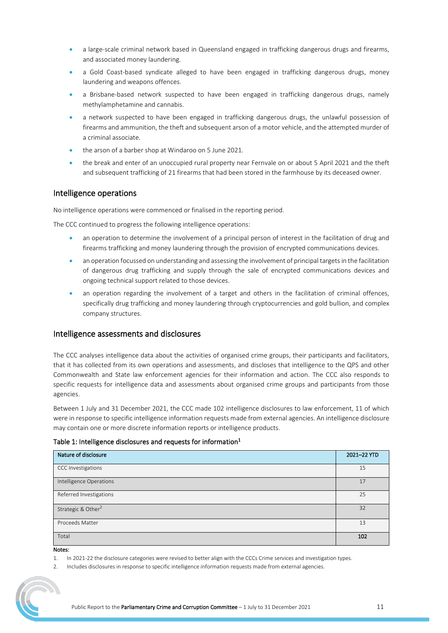- a large-scale criminal network based in Queensland engaged in trafficking dangerous drugs and firearms, and associated money laundering.
- a Gold Coast-based syndicate alleged to have been engaged in trafficking dangerous drugs, money laundering and weapons offences.
- a Brisbane-based network suspected to have been engaged in trafficking dangerous drugs, namely methylamphetamine and cannabis.
- a network suspected to have been engaged in trafficking dangerous drugs, the unlawful possession of firearms and ammunition, the theft and subsequent arson of a motor vehicle, and the attempted murder of a criminal associate.
- the arson of a barber shop at Windaroo on 5 June 2021.
- the break and enter of an unoccupied rural property near Fernvale on or about 5 April 2021 and the theft and subsequent trafficking of 21 firearms that had been stored in the farmhouse by its deceased owner.

#### Intelligence operations

No intelligence operations were commenced or finalised in the reporting period.

The CCC continued to progress the following intelligence operations:

- an operation to determine the involvement of a principal person of interest in the facilitation of drug and firearms trafficking and money laundering through the provision of encrypted communications devices.
- an operation focussed on understanding and assessing the involvement of principal targets in the facilitation of dangerous drug trafficking and supply through the sale of encrypted communications devices and ongoing technical support related to those devices.
- an operation regarding the involvement of a target and others in the facilitation of criminal offences, specifically drug trafficking and money laundering through cryptocurrencies and gold bullion, and complex company structures.

#### Intelligence assessments and disclosures

The CCC analyses intelligence data about the activities of organised crime groups, their participants and facilitators, that it has collected from its own operations and assessments, and discloses that intelligence to the QPS and other Commonwealth and State law enforcement agencies for their information and action. The CCC also responds to specific requests for intelligence data and assessments about organised crime groups and participants from those agencies.

Between 1 July and 31 December 2021, the CCC made 102 intelligence disclosures to law enforcement, 11 of which were in response to specific intelligence information requests made from external agencies. An intelligence disclosure may contain one or more discrete information reports or intelligence products.

#### Table 1: Intelligence disclosures and requests for information $1$

| Nature of disclosure           | 2021-22 YTD |
|--------------------------------|-------------|
| CCC Investigations             | 15          |
| Intelligence Operations        | 17          |
| Referred Investigations        | 25          |
| Strategic & Other <sup>2</sup> | 32          |
| Proceeds Matter                | 13          |
| Total                          | 102         |

Notes:

1. In 2021-22 the disclosure categories were revised to better align with the CCCs Crime services and investigation types.

2. Includes disclosures in response to specific intelligence information requests made from external agencies.

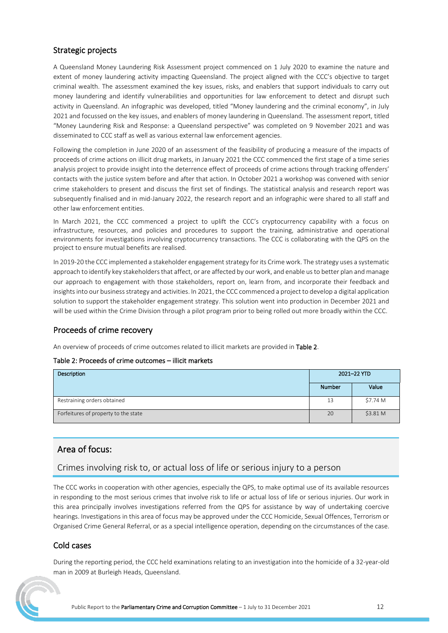#### Strategic projects

A Queensland Money Laundering Risk Assessment project commenced on 1 July 2020 to examine the nature and extent of money laundering activity impacting Queensland. The project aligned with the CCC's objective to target criminal wealth. The assessment examined the key issues, risks, and enablers that support individuals to carry out money laundering and identify vulnerabilities and opportunities for law enforcement to detect and disrupt such activity in Queensland. An infographic was developed, titled "Money laundering and the criminal economy", in July 2021 and focussed on the key issues, and enablers of money laundering in Queensland. The assessment report, titled "Money Laundering Risk and Response: a Queensland perspective" was completed on 9 November 2021 and was disseminated to CCC staff as well as various external law enforcement agencies.

Following the completion in June 2020 of an assessment of the feasibility of producing a measure of the impacts of proceeds of crime actions on illicit drug markets, in January 2021 the CCC commenced the first stage of a time series analysis project to provide insight into the deterrence effect of proceeds of crime actions through tracking offenders' contacts with the justice system before and after that action. In October 2021 a workshop was convened with senior crime stakeholders to present and discuss the first set of findings. The statistical analysis and research report was subsequently finalised and in mid-January 2022, the research report and an infographic were shared to all staff and other law enforcement entities.

In March 2021, the CCC commenced a project to uplift the CCC's cryptocurrency capability with a focus on infrastructure, resources, and policies and procedures to support the training, administrative and operational environments for investigations involving cryptocurrency transactions. The CCC is collaborating with the QPS on the project to ensure mutual benefits are realised.

In 2019-20 the CCC implemented a stakeholder engagement strategy for its Crime work. The strategy uses a systematic approach to identify key stakeholders that affect, or are affected by our work, and enable us to better plan and manage our approach to engagement with those stakeholders, report on, learn from, and incorporate their feedback and insights into our business strategy and activities. In 2021, the CCC commenced a project to develop a digital application solution to support the stakeholder engagement strategy. This solution went into production in December 2021 and will be used within the Crime Division through a pilot program prior to being rolled out more broadly within the CCC.

#### Proceeds of crime recovery

An overview of proceeds of crime outcomes related to illicit markets are provided in [Table 2.](#page-11-1)

#### <span id="page-11-1"></span>Table 2: Proceeds of crime outcomes – illicit markets

| Description                          | 2021-22 YTD |          |
|--------------------------------------|-------------|----------|
|                                      | Number      | Value    |
| Restraining orders obtained          | 13          | \$7.74 M |
| Forfeitures of property to the state | 20          | \$3.81 M |

#### Area of focus:

<span id="page-11-0"></span>Crimes involving risk to, or actual loss of life or serious injury to a person

The CCC works in cooperation with other agencies, especially the QPS, to make optimal use of its available resources in responding to the most serious crimes that involve risk to life or actual loss of life or serious injuries. Our work in this area principally involves investigations referred from the QPS for assistance by way of undertaking coercive hearings. Investigations in this area of focus may be approved under the CCC Homicide, Sexual Offences, Terrorism or Organised Crime General Referral, or as a special intelligence operation, depending on the circumstances of the case.

#### Cold cases

During the reporting period, the CCC held examinations relating to an investigation into the homicide of a 32-year-old man in 2009 at Burleigh Heads, Queensland.

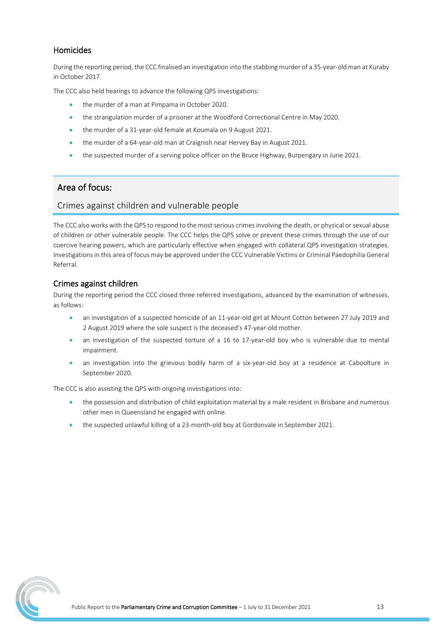#### Homicides

During the reporting period, the CCC finalised an investigation into the stabbing murder of a 35-year-old man at Kuraby in October 2017.

The CCC also held hearings to advance the following QPS investigations:

- the murder of a man at Pimpama in October 2020.
- the strangulation murder of a prisoner at the Woodford Correctional Centre in May 2020.
- the murder of a 31-year-old female at Koumala on 9 August 2021.
- the murder of a 64-year-old man at Craignish near Hervey Bay in August 2021.
- the suspected murder of a serving police officer on the Bruce Highway, Burpengary in June 2021.

#### Area of focus:

#### <span id="page-12-0"></span>Crimes against children and vulnerable people

The CCC also works with the QPS to respond to the most serious crimes involving the death, or physical or sexual abuse of children or other vulnerable people. The CCC helps the QPS solve or prevent these crimes through the use of our coercive hearing powers, which are particularly effective when engaged with collateral QPS investigation strategies. Investigations in this area of focus may be approved under the CCC Vulnerable Victims or Criminal Paedophilia General Referral.

#### Crimes against children

During the reporting period the CCC closed three referred investigations, advanced by the examination of witnesses, as follows:

- an investigation of a suspected homicide of an 11-year-old girl at Mount Cotton between 27 July 2019 and 2 August 2019 where the sole suspect is the deceased's 47-year-old mother.
- an investigation of the suspected torture of a 16 to 17-year-old boy who is vulnerable due to mental impairment.
- an investigation into the grievous bodily harm of a six-year-old boy at a residence at Caboolture in September 2020.

The CCC is also assisting the QPS with ongoing investigations into:

- the possession and distribution of child exploitation material by a male resident in Brisbane and numerous other men in Queensland he engaged with online.
- the suspected unlawful killing of a 23-month-old boy at Gordonvale in September 2021.

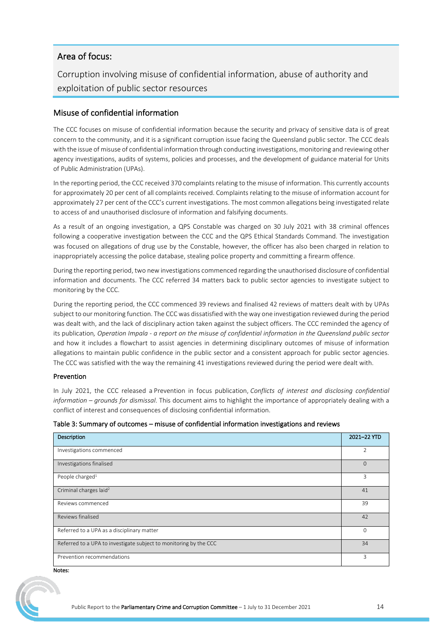#### Area of focus:

<span id="page-13-0"></span>Corruption involving misuse of confidential information, abuse of authority and exploitation of public sector resources

#### Misuse of confidential information

The CCC focuses on misuse of confidential information because the security and privacy of sensitive data is of great concern to the community, and it is a significant corruption issue facing the Queensland public sector. The CCC deals with the issue of misuse of confidential information through conducting investigations, monitoring and reviewing other agency investigations, audits of systems, policies and processes, and the development of guidance material for Units of Public Administration (UPAs).

In the reporting period, the CCC received 370 complaints relating to the misuse of information. This currently accounts for approximately 20 per cent of all complaints received. Complaints relating to the misuse of information account for approximately 27 per cent of the CCC's current investigations. The most common allegations being investigated relate to access of and unauthorised disclosure of information and falsifying documents.

As a result of an ongoing investigation, a QPS Constable was charged on 30 July 2021 with 38 criminal offences following a cooperative investigation between the CCC and the QPS Ethical Standards Command. The investigation was focused on allegations of drug use by the Constable, however, the officer has also been charged in relation to inappropriately accessing the police database, stealing police property and committing a firearm offence.

During the reporting period, two new investigations commenced regarding the unauthorised disclosure of confidential information and documents. The CCC referred 34 matters back to public sector agencies to investigate subject to monitoring by the CCC.

During the reporting period, the CCC commenced 39 reviews and finalised 42 reviews of matters dealt with by UPAs subject to our monitoring function. The CCC was dissatisfied with the way one investigation reviewed during the period was dealt with, and the lack of disciplinary action taken against the subject officers. The CCC reminded the agency of its publication*, Operation Impala - a report on the misuse of confidential information in the Queensland public sector* and how it includes a flowchart to assist agencies in determining disciplinary outcomes of misuse of information allegations to maintain public confidence in the public sector and a consistent approach for public sector agencies. The CCC was satisfied with the way the remaining 41 investigations reviewed during the period were dealt with.

#### Prevention

In July 2021, the CCC released a Prevention in focus publication, *Conflicts of interest and disclosing confidential information – grounds for dismissal*. This document aims to highlight the importance of appropriately dealing with a conflict of interest and consequences of disclosing confidential information.

| Table 3: Summary of outcomes – misuse of confidential information investigations and reviews |  |  |  |  |
|----------------------------------------------------------------------------------------------|--|--|--|--|
|----------------------------------------------------------------------------------------------|--|--|--|--|

| Description                                                       | 2021-22 YTD    |
|-------------------------------------------------------------------|----------------|
| Investigations commenced                                          | $\mathfrak{D}$ |
| Investigations finalised                                          | $\Omega$       |
| People charged <sup>1</sup>                                       | 3              |
| Criminal charges laid <sup>2</sup>                                | 41             |
| Reviews commenced                                                 | 39             |
| Reviews finalised                                                 | 42             |
| Referred to a UPA as a disciplinary matter                        | $\Omega$       |
| Referred to a UPA to investigate subject to monitoring by the CCC | 34             |
| Prevention recommendations                                        | 3              |
| Notes:                                                            |                |

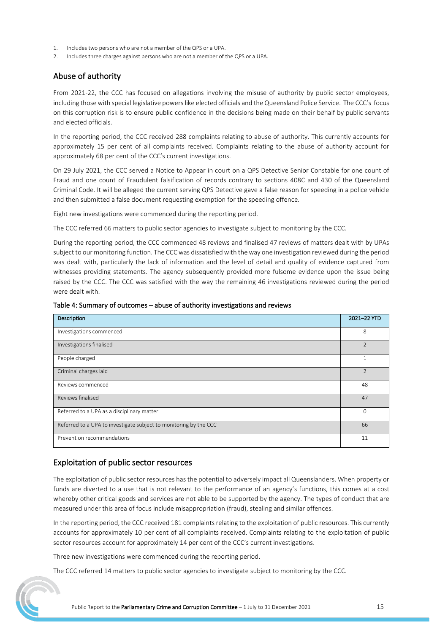- 1. Includes two persons who are not a member of the QPS or a UPA.
- 2. Includes three charges against persons who are not a member of the QPS or a UPA.

#### Abuse of authority

From 2021-22, the CCC has focused on allegations involving the misuse of authority by public sector employees, including those with special legislative powers like elected officials and the Queensland Police Service. The CCC's focus on this corruption risk is to ensure public confidence in the decisions being made on their behalf by public servants and elected officials.

In the reporting period, the CCC received 288 complaints relating to abuse of authority. This currently accounts for approximately 15 per cent of all complaints received. Complaints relating to the abuse of authority account for approximately 68 per cent of the CCC's current investigations.

On 29 July 2021, the CCC served a Notice to Appear in court on a QPS Detective Senior Constable for one count of Fraud and one count of Fraudulent falsification of records contrary to sections 408C and 430 of the Queensland Criminal Code. It will be alleged the current serving QPS Detective gave a false reason for speeding in a police vehicle and then submitted a false document requesting exemption for the speeding offence.

Eight new investigations were commenced during the reporting period.

The CCC referred 66 matters to public sector agencies to investigate subject to monitoring by the CCC.

During the reporting period, the CCC commenced 48 reviews and finalised 47 reviews of matters dealt with by UPAs subject to our monitoring function. The CCC was dissatisfied with the way one investigation reviewed during the period was dealt with, particularly the lack of information and the level of detail and quality of evidence captured from witnesses providing statements. The agency subsequently provided more fulsome evidence upon the issue being raised by the CCC. The CCC was satisfied with the way the remaining 46 investigations reviewed during the period were dealt with.

| Description                                                       | 2021-22 YTD              |
|-------------------------------------------------------------------|--------------------------|
| Investigations commenced                                          | 8                        |
| Investigations finalised                                          | $\overline{\phantom{0}}$ |
| People charged                                                    |                          |
| Criminal charges laid                                             | $\overline{\phantom{0}}$ |
| Reviews commenced                                                 | 48                       |
| Reviews finalised                                                 | 47                       |
| Referred to a UPA as a disciplinary matter                        | $\Omega$                 |
| Referred to a UPA to investigate subject to monitoring by the CCC | 66                       |
| Prevention recommendations                                        | 11                       |

Table 4: Summary of outcomes – abuse of authority investigations and reviews

#### Exploitation of public sector resources

The exploitation of public sector resources has the potential to adversely impact all Queenslanders. When property or funds are diverted to a use that is not relevant to the performance of an agency's functions, this comes at a cost whereby other critical goods and services are not able to be supported by the agency. The types of conduct that are measured under this area of focus include misappropriation (fraud), stealing and similar offences.

In the reporting period, the CCC received 181 complaints relating to the exploitation of public resources. This currently accounts for approximately 10 per cent of all complaints received. Complaints relating to the exploitation of public sector resources account for approximately 14 per cent of the CCC's current investigations.

Three new investigations were commenced during the reporting period.

The CCC referred 14 matters to public sector agencies to investigate subject to monitoring by the CCC.

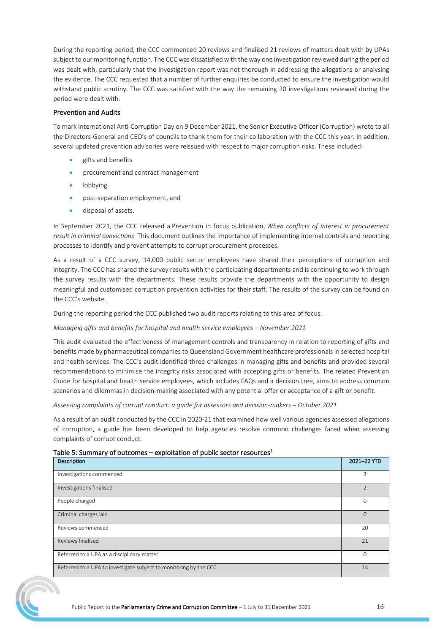During the reporting period, the CCC commenced 20 reviews and finalised 21 reviews of matters dealt with by UPAs subject to our monitoring function. The CCC was dissatisfied with the way one investigation reviewed during the period was dealt with, particularly that the Investigation report was not thorough in addressing the allegations or analysing the evidence. The CCC requested that a number of further enquiries be conducted to ensure the investigation would withstand public scrutiny. The CCC was satisfied with the way the remaining 20 investigations reviewed during the period were dealt with.

#### Prevention and Audits

To mark International Anti-Corruption Day on 9 December 2021, the Senior Executive Officer (Corruption) wrote to all the Directors-General and CEO's of councils to thank them for their collaboration with the CCC this year. In addition, several updated prevention advisories were reissued with respect to major corruption risks. These included:

- gifts and benefits
- procurement and contract management
- lobbying
- post-separation employment, and
- disposal of assets.

In September 2021, the CCC released a Prevention in focus publication, *When conflicts of interest in procurement result in criminal convictions*. This document outlines the importance of implementing internal controls and reporting processes to identify and prevent attempts to corrupt procurement processes.

As a result of a CCC survey, 14,000 public sector employees have shared their perceptions of corruption and integrity. The CCC has shared the survey results with the participating departments and is continuing to work through the survey results with the departments. These results provide the departments with the opportunity to design meaningful and customised corruption prevention activities for their staff. The results of the survey can be found on the CCC's website.

During the reporting period the CCC published two audit reports relating to this area of focus.

#### *Managing gifts and benefits for hospital and health service employees – November 2021*

This audit evaluated the effectiveness of management controls and transparency in relation to reporting of gifts and benefits made by pharmaceutical companies to Queensland Government healthcare professionals in selected hospital and health services. The CCC's audit identified three challenges in managing gifts and benefits and provided several recommendations to minimise the integrity risks associated with accepting gifts or benefits. The related Prevention Guide for hospital and health service employees, which includes FAQs and a decision tree, aims to address common scenarios and dilemmas in decision-making associated with any potential offer or acceptance of a gift or benefit.

*Assessing complaints of corrupt conduct: a guide for assessors and decision-makers – October 2021*

As a result of an audit conducted by the CCC in 2020-21 that examined how well various agencies assessed allegations of corruption, a guide has been developed to help agencies resolve common challenges faced when assessing complaints of corrupt conduct.

#### Table 5: Summary of outcomes – exploitation of public sector resources<sup>1</sup>

| Description                                                       | 2021-22 YTD              |
|-------------------------------------------------------------------|--------------------------|
| Investigations commenced                                          | 3                        |
| Investigations finalised                                          | $\overline{\phantom{0}}$ |
| People charged                                                    | $\mathbf 0$              |
| Criminal charges laid                                             | $\Omega$                 |
| Reviews commenced                                                 | 20                       |
| Reviews finalised                                                 | 21                       |
| Referred to a UPA as a disciplinary matter                        | $\Omega$                 |
| Referred to a UPA to investigate subject to monitoring by the CCC | 14                       |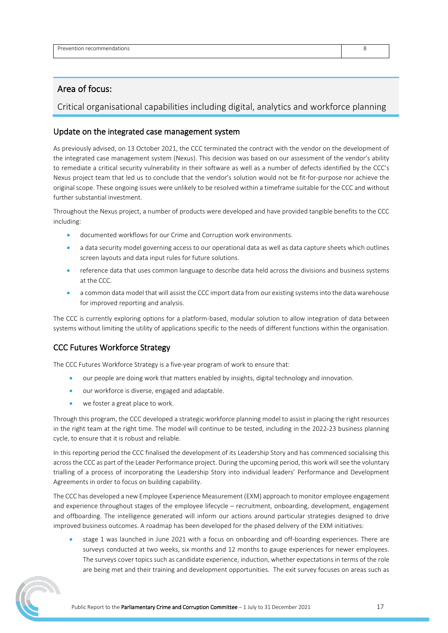<span id="page-16-0"></span>Critical organisational capabilities including digital, analytics and workforce planning

#### Update on the integrated case management system

As previously advised, on 13 October 2021, the CCC terminated the contract with the vendor on the development of the integrated case management system (Nexus). This decision was based on our assessment of the vendor's ability to remediate a critical security vulnerability in their software as well as a number of defects identified by the CCC's Nexus project team that led us to conclude that the vendor's solution would not be fit-for-purpose nor achieve the original scope. These ongoing issues were unlikely to be resolved within a timeframe suitable for the CCC and without further substantial investment.

Throughout the Nexus project, a number of products were developed and have provided tangible benefits to the CCC including:

- documented workflows for our Crime and Corruption work environments.
- a data security model governing access to our operational data as well as data capture sheets which outlines screen layouts and data input rules for future solutions.
- reference data that uses common language to describe data held across the divisions and business systems at the CCC.
- a common data model that will assist the CCC import data from our existing systems into the data warehouse for improved reporting and analysis.

The CCC is currently exploring options for a platform-based, modular solution to allow integration of data between systems without limiting the utility of applications specific to the needs of different functions within the organisation.

#### CCC Futures Workforce Strategy

The CCC Futures Workforce Strategy is a five-year program of work to ensure that:

- our people are doing work that matters enabled by insights, digital technology and innovation.
- our workforce is diverse, engaged and adaptable.
- we foster a great place to work.

Through this program, the CCC developed a strategic workforce planning model to assist in placing the right resources in the right team at the right time. The model will continue to be tested, including in the 2022-23 business planning cycle, to ensure that it is robust and reliable.

In this reporting period the CCC finalised the development of its Leadership Story and has commenced socialising this across the CCC as part of the Leader Performance project. During the upcoming period, this work will see the voluntary trialling of a process of incorporating the Leadership Story into individual leaders' Performance and Development Agreements in order to focus on building capability.

The CCC has developed a new Employee Experience Measurement (EXM) approach to monitor employee engagement and experience throughout stages of the employee lifecycle – recruitment, onboarding, development, engagement and offboarding. The intelligence generated will inform our actions around particular strategies designed to drive improved business outcomes. A roadmap has been developed for the phased delivery of the EXM initiatives:

• stage 1 was launched in June 2021 with a focus on onboarding and off-boarding experiences. There are surveys conducted at two weeks, six months and 12 months to gauge experiences for newer employees. The surveys cover topics such as candidate experience, induction, whether expectations in terms of the role are being met and their training and development opportunities. The exit survey focuses on areas such as

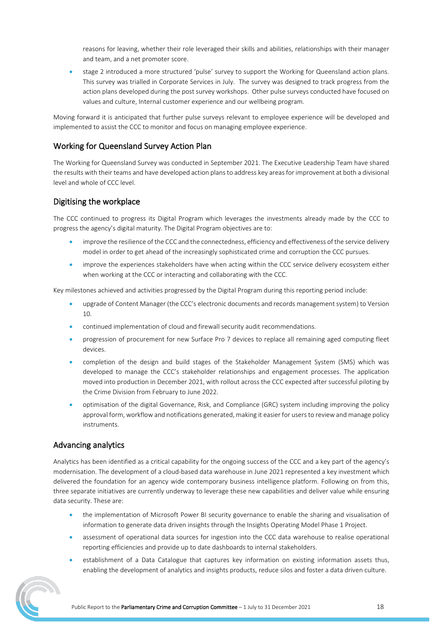reasons for leaving, whether their role leveraged their skills and abilities, relationships with their manager and team, and a net promoter score.

• stage 2 introduced a more structured 'pulse' survey to support the Working for Queensland action plans. This survey was trialled in Corporate Services in July. The survey was designed to track progress from the action plans developed during the post survey workshops. Other pulse surveys conducted have focused on values and culture, Internal customer experience and our wellbeing program.

Moving forward it is anticipated that further pulse surveys relevant to employee experience will be developed and implemented to assist the CCC to monitor and focus on managing employee experience.

#### Working for Queensland Survey Action Plan

The Working for Queensland Survey was conducted in September 2021. The Executive Leadership Team have shared the results with their teams and have developed action plans to address key areas for improvement at both a divisional level and whole of CCC level.

#### Digitising the workplace

The CCC continued to progress its Digital Program which leverages the investments already made by the CCC to progress the agency's digital maturity. The Digital Program objectives are to:

- improve the resilience of the CCC and the connectedness, efficiency and effectiveness of the service delivery model in order to get ahead of the increasingly sophisticated crime and corruption the CCC pursues.
- improve the experiences stakeholders have when acting within the CCC service delivery ecosystem either when working at the CCC or interacting and collaborating with the CCC.

Key milestones achieved and activities progressed by the Digital Program during this reporting period include:

- upgrade of Content Manager (the CCC's electronic documents and records management system) to Version 10.
- continued implementation of cloud and firewall security audit recommendations.
- progression of procurement for new Surface Pro 7 devices to replace all remaining aged computing fleet devices.
- completion of the design and build stages of the Stakeholder Management System (SMS) which was developed to manage the CCC's stakeholder relationships and engagement processes. The application moved into production in December 2021, with rollout across the CCC expected after successful piloting by the Crime Division from February to June 2022.
- optimisation of the digital Governance, Risk, and Compliance (GRC) system including improving the policy approval form, workflow and notifications generated, making it easier for users to review and manage policy instruments.

#### Advancing analytics

Analytics has been identified as a critical capability for the ongoing success of the CCC and a key part of the agency's modernisation. The development of a cloud-based data warehouse in June 2021 represented a key investment which delivered the foundation for an agency wide contemporary business intelligence platform. Following on from this, three separate initiatives are currently underway to leverage these new capabilities and deliver value while ensuring data security. These are:

- the implementation of Microsoft Power BI security governance to enable the sharing and visualisation of information to generate data driven insights through the Insights Operating Model Phase 1 Project.
- assessment of operational data sources for ingestion into the CCC data warehouse to realise operational reporting efficiencies and provide up to date dashboards to internal stakeholders.
- establishment of a Data Catalogue that captures key information on existing information assets thus, enabling the development of analytics and insights products, reduce silos and foster a data driven culture.

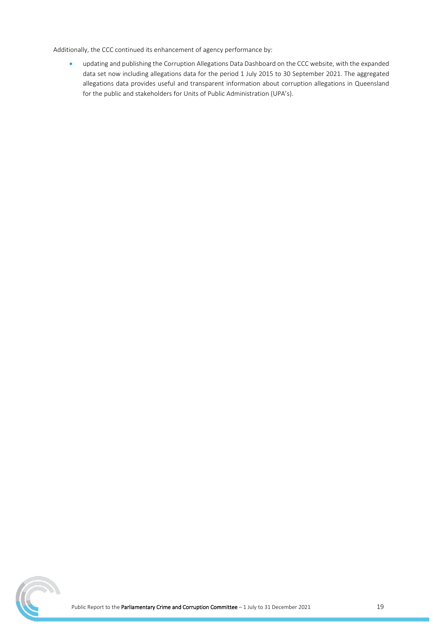Additionally, the CCC continued its enhancement of agency performance by:

• updating and publishing the Corruption Allegations Data Dashboard on the CCC website, with the expanded data set now including allegations data for the period 1 July 2015 to 30 September 2021. The aggregated allegations data provides useful and transparent information about corruption allegations in Queensland for the public and stakeholders for Units of Public Administration (UPA's).

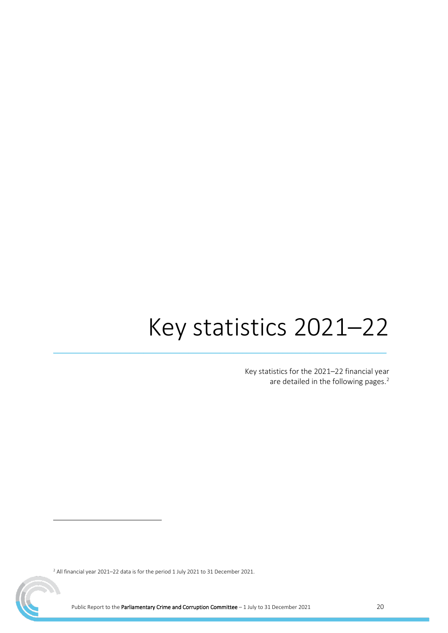# Key statistics 2021–22

<span id="page-19-0"></span> $\_$  , and the set of the set of the set of the set of the set of the set of the set of the set of the set of the set of the set of the set of the set of the set of the set of the set of the set of the set of the set of th

Key statistics for the 2021–22 financial year are detailed in the following pages.<sup>[2](#page-19-1)</sup>

<span id="page-19-1"></span><sup>2</sup> All financial year 2021–22 data is for the period 1 July 2021 to 31 December 2021.

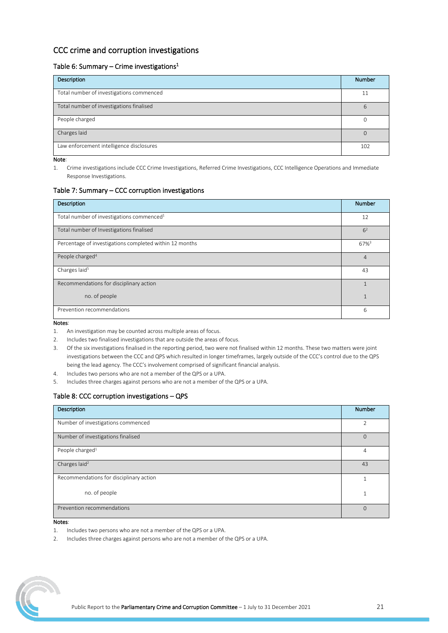#### CCC crime and corruption investigations

#### Table 6: Summary – Crime investigations<sup>1</sup>

| Description                              | <b>Number</b> |
|------------------------------------------|---------------|
| Total number of investigations commenced |               |
| Total number of investigations finalised |               |
| People charged                           |               |
| Charges laid                             |               |
| Law enforcement intelligence disclosures | 102           |

Note:

1. Crime investigations include CCC Crime Investigations, Referred Crime Investigations, CCC Intelligence Operations and Immediate Response Investigations.

#### Table 7: Summary – CCC corruption investigations

| Description                                             | <b>Number</b>    |
|---------------------------------------------------------|------------------|
| Total number of investigations commenced <sup>1</sup>   | 12               |
| Total number of Investigations finalised                | 6 <sup>2</sup>   |
| Percentage of investigations completed within 12 months | 67% <sup>3</sup> |
| People charged <sup>4</sup>                             | 4                |
| Charges laid <sup>5</sup>                               | 43               |
| Recommendations for disciplinary action                 |                  |
| no. of people                                           |                  |
| Prevention recommendations                              | 6                |

Notes:

- 1. An investigation may be counted across multiple areas of focus.
- 2. Includes two finalised investigations that are outside the areas of focus.
- 3. Of the six investigations finalised in the reporting period, two were not finalised within 12 months. These two matters were joint investigations between the CCC and QPS which resulted in longer timeframes, largely outside of the CCC's control due to the QPS being the lead agency. The CCC's involvement comprised of significant financial analysis.
- 4. Includes two persons who are not a member of the QPS or a UPA.
- 5. Includes three charges against persons who are not a member of the QPS or a UPA.

#### Table 8: CCC corruption investigations – QPS

| Description                             | <b>Number</b>            |
|-----------------------------------------|--------------------------|
| Number of investigations commenced      | $\overline{\phantom{a}}$ |
| Number of investigations finalised      | $\overline{0}$           |
| People charged <sup>1</sup>             | $\overline{4}$           |
| Charges laid <sup>2</sup>               | 43                       |
| Recommendations for disciplinary action |                          |
| no. of people                           | и                        |
| Prevention recommendations              | $\Omega$                 |

Notes:

- 1. Includes two persons who are not a member of the QPS or a UPA.
- 2. Includes three charges against persons who are not a member of the QPS or a UPA.

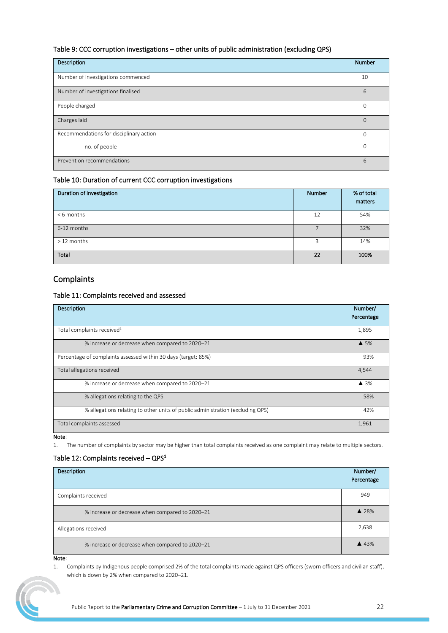#### Table 9: CCC corruption investigations – other units of public administration (excluding QPS)

| Description                             | Number   |
|-----------------------------------------|----------|
| Number of investigations commenced      | 10       |
| Number of investigations finalised      | 6        |
| People charged                          | $\Omega$ |
| Charges laid                            | $\Omega$ |
| Recommendations for disciplinary action | O        |
| no. of people                           | $\Omega$ |
| Prevention recommendations              | 6        |

#### Table 10: Duration of current CCC corruption investigations

| Duration of investigation | <b>Number</b> | % of total<br>matters |
|---------------------------|---------------|-----------------------|
| $< 6$ months              | 12            | 54%                   |
| 6-12 months               |               | 32%                   |
| $>12$ months              | 3             | 14%                   |
| Total                     | 22            | 100%                  |

#### **Complaints**

#### Table 11: Complaints received and assessed

| Description                                                                    | Number/<br>Percentage |
|--------------------------------------------------------------------------------|-----------------------|
| Total complaints received <sup>1</sup>                                         | 1,895                 |
| % increase or decrease when compared to 2020-21                                | $\triangle$ 5%        |
| Percentage of complaints assessed within 30 days (target: 85%)                 | 93%                   |
| Total allegations received                                                     | 4,544                 |
| % increase or decrease when compared to 2020-21                                | $\triangle$ 3%        |
| % allegations relating to the QPS                                              | 58%                   |
| % allegations relating to other units of public administration (excluding QPS) | 42%                   |
| Total complaints assessed                                                      | 1,961                 |

Note:

1. The number of complaints by sector may be higher than total complaints received as one complaint may relate to multiple sectors.

#### Table 12: Complaints received  $-$  QPS<sup>1</sup>

| Description                                     | Number/<br>Percentage |
|-------------------------------------------------|-----------------------|
| Complaints received                             | 949                   |
| % increase or decrease when compared to 2020-21 | $\triangle$ 28%       |
| Allegations received                            | 2,638                 |
| % increase or decrease when compared to 2020-21 | ▲ 43%                 |

Note:

1. Complaints by Indigenous people comprised 2% of the total complaints made against QPS officers (sworn officers and civilian staff), which is down by 2% when compared to 2020–21.

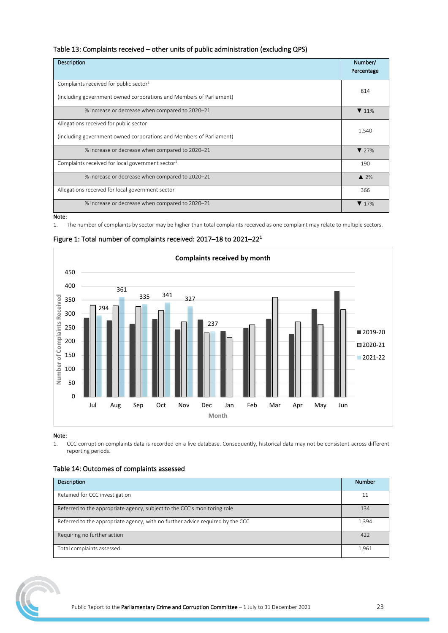#### Table 13: Complaints received – other units of public administration (excluding QPS)

| Description                                                         | Number/<br>Percentage    |
|---------------------------------------------------------------------|--------------------------|
| Complaints received for public sector $1$                           | 814                      |
| (including government owned corporations and Members of Parliament) |                          |
| % increase or decrease when compared to 2020-21                     | $\blacktriangledown$ 11% |
| Allegations received for public sector                              | 1,540                    |
| (including government owned corporations and Members of Parliament) |                          |
| % increase or decrease when compared to 2020-21                     | $\blacktriangledown$ 27% |
| Complaints received for local government sector $1$                 | 190                      |
| % increase or decrease when compared to 2020-21                     | $\triangle$ 2%           |
| Allegations received for local government sector                    | 366                      |
| % increase or decrease when compared to 2020-21                     | $\blacktriangledown$ 17% |

Note:

1. The number of complaints by sector may be higher than total complaints received as one complaint may relate to multiple sectors.





Note:

1. CCC corruption complaints data is recorded on a live database. Consequently, historical data may not be consistent across different reporting periods.

| <b>Description</b>                                                             | <b>Number</b> |
|--------------------------------------------------------------------------------|---------------|
| Retained for CCC investigation                                                 | 11            |
| Referred to the appropriate agency, subject to the CCC's monitoring role       | 134           |
| Referred to the appropriate agency, with no further advice required by the CCC | 1,394         |
| Requiring no further action                                                    | 422           |
| Total complaints assessed                                                      | 1,961         |



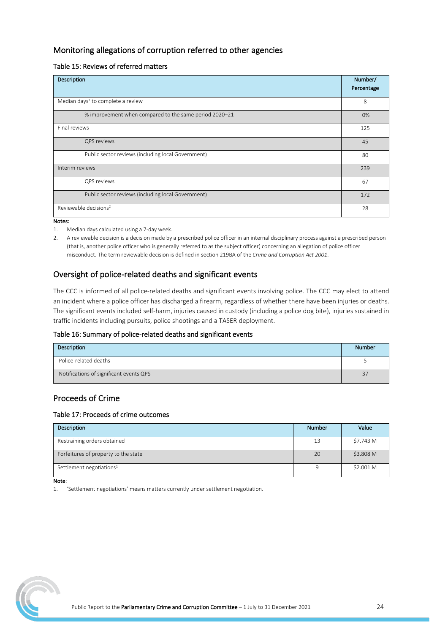#### Monitoring allegations of corruption referred to other agencies

#### Table 15: Reviews of referred matters

| Description                                            | Number/<br>Percentage |
|--------------------------------------------------------|-----------------------|
| Median days <sup>1</sup> to complete a review          | 8                     |
| % improvement when compared to the same period 2020-21 | 0%                    |
| Final reviews                                          | 125                   |
| QPS reviews                                            | 45                    |
| Public sector reviews (including local Government)     | 80                    |
| Interim reviews                                        | 239                   |
| QPS reviews                                            | 67                    |
| Public sector reviews (including local Government)     | 172                   |
| Reviewable decisions <sup>2</sup>                      | 28                    |

#### Notes:

1. Median days calculated using a 7-day week.

2. A reviewable decision is a decision made by a prescribed police officer in an internal disciplinary process against a prescribed person (that is, another police officer who is generally referred to as the subject officer) concerning an allegation of police officer misconduct. The term reviewable decision is defined in section 219BA of the *Crime and Corruption Act 2001*.

#### Oversight of police-related deaths and significant events

The CCC is informed of all police-related deaths and significant events involving police. The CCC may elect to attend an incident where a police officer has discharged a firearm, regardless of whether there have been injuries or deaths. The significant events included self-harm, injuries caused in custody (including a police dog bite), injuries sustained in traffic incidents including pursuits, police shootings and a TASER deployment.

#### Table 16: Summary of police-related deaths and significant events

| Description                             | Number |
|-----------------------------------------|--------|
| Police-related deaths                   |        |
| Notifications of significant events QPS |        |

#### Proceeds of Crime

#### Table 17: Proceeds of crime outcomes

| Description                          | Number | Value     |
|--------------------------------------|--------|-----------|
| Restraining orders obtained          | 13     | \$7.743 M |
| Forfeitures of property to the state | 20     | \$3.808 M |
| Settlement negotiations <sup>1</sup> |        | \$2.001 M |

Note:

1. 'Settlement negotiations' means matters currently under settlement negotiation.

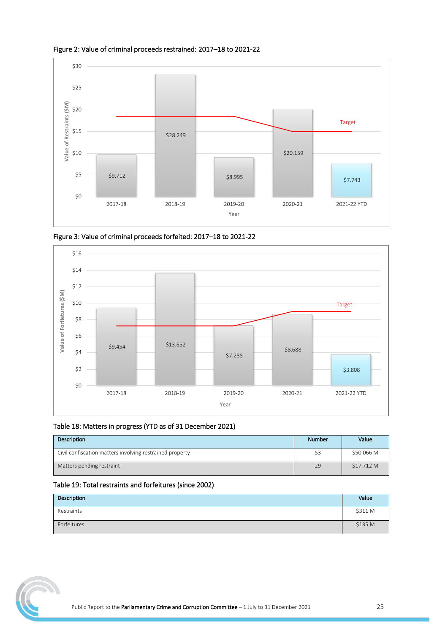

Figure 2: Value of criminal proceeds restrained: 2017–18 to 2021-22

Figure 3: Value of criminal proceeds forfeited: 2017–18 to 2021-22



#### Table 18: Matters in progress (YTD as of 31 December 2021)

| Description                                              | <b>Number</b> | Value      |
|----------------------------------------------------------|---------------|------------|
| Civil confiscation matters involving restrained property | -53           | \$50,066 M |
| Matters pending restraint                                | 29            | \$17.712 M |

#### Table 19: Total restraints and forfeitures (since 2002)

| Description | Value   |
|-------------|---------|
| Restraints  | \$311 M |
| Forfeitures | \$135 M |

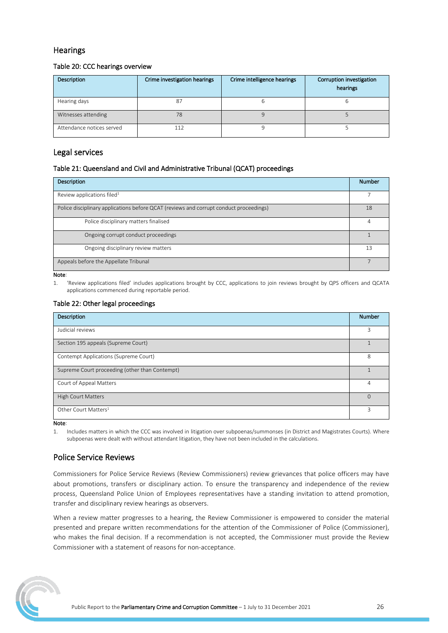#### **Hearings**

#### Table 20: CCC hearings overview

| Description               | Crime investigation hearings | Crime intelligence hearings | Corruption investigation<br>hearings |
|---------------------------|------------------------------|-----------------------------|--------------------------------------|
| Hearing days              | 87                           |                             | b                                    |
| Witnesses attending       | 78                           |                             |                                      |
| Attendance notices served | 112                          |                             |                                      |

#### Legal services

#### Table 21: Queensland and Civil and Administrative Tribunal (QCAT) proceedings

| Description                                                                            | <b>Number</b> |
|----------------------------------------------------------------------------------------|---------------|
| Review applications filed <sup>1</sup>                                                 |               |
| Police disciplinary applications before QCAT (reviews and corrupt conduct proceedings) | 18            |
| Police disciplinary matters finalised                                                  | 4             |
| Ongoing corrupt conduct proceedings                                                    |               |
| Ongoing disciplinary review matters                                                    | 13            |
| Appeals before the Appellate Tribunal                                                  |               |

Note:

1. 'Review applications filed' includes applications brought by CCC, applications to join reviews brought by QPS officers and QCATA applications commenced during reportable period.

#### Table 22: Other legal proceedings

| Description                                    | <b>Number</b>            |
|------------------------------------------------|--------------------------|
| Judicial reviews                               | Β                        |
| Section 195 appeals (Supreme Court)            |                          |
| Contempt Applications (Supreme Court)          | 8                        |
| Supreme Court proceeding (other than Contempt) |                          |
| Court of Appeal Matters                        | 4                        |
| <b>High Court Matters</b>                      | $\Omega$                 |
| Other Court Matters <sup>1</sup>               | $\overline{\mathcal{L}}$ |

Note:

1. Includes matters in which the CCC was involved in litigation over subpoenas/summonses (in District and Magistrates Courts). Where subpoenas were dealt with without attendant litigation, they have not been included in the calculations.

#### Police Service Reviews

Commissioners for Police Service Reviews (Review Commissioners) review grievances that police officers may have about promotions, transfers or disciplinary action. To ensure the transparency and independence of the review process, Queensland Police Union of Employees representatives have a standing invitation to attend promotion, transfer and disciplinary review hearings as observers.

When a review matter progresses to a hearing, the Review Commissioner is empowered to consider the material presented and prepare written recommendations for the attention of the Commissioner of Police (Commissioner), who makes the final decision. If a recommendation is not accepted, the Commissioner must provide the Review Commissioner with a statement of reasons for non-acceptance.

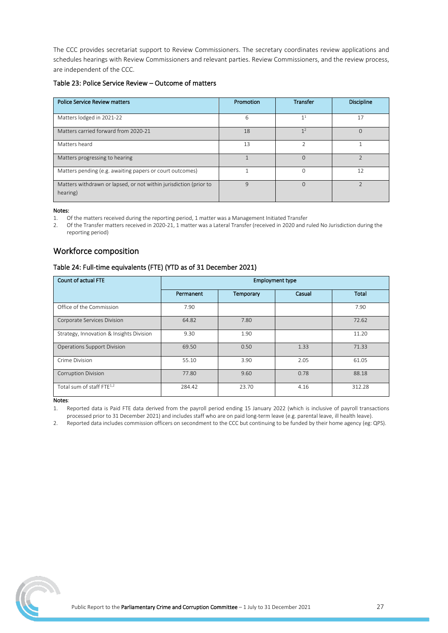The CCC provides secretariat support to Review Commissioners. The secretary coordinates review applications and schedules hearings with Review Commissioners and relevant parties. Review Commissioners, and the review process, are independent of the CCC.

#### Table 23: Police Service Review – Outcome of matters

| <b>Police Service Review matters</b>                                          | Promotion    | <b>Transfer</b> | <b>Discipline</b> |
|-------------------------------------------------------------------------------|--------------|-----------------|-------------------|
| Matters lodged in 2021-22                                                     | 6            | 1 <sup>1</sup>  | 17                |
| Matters carried forward from 2020-21                                          | 18           | 1 <sup>2</sup>  | $\Omega$          |
| Matters heard                                                                 | 13           |                 |                   |
| Matters progressing to hearing                                                |              | $\Omega$        | $\overline{ }$    |
| Matters pending (e.g. awaiting papers or court outcomes)                      |              | $\Omega$        | 12                |
| Matters withdrawn or lapsed, or not within jurisdiction (prior to<br>hearing) | $\mathsf{Q}$ | $\Omega$        |                   |

Notes:

1. Of the matters received during the reporting period, 1 matter was a Management Initiated Transfer

2. Of the Transfer matters received in 2020-21, 1 matter was a Lateral Transfer (received in 2020 and ruled No Jurisdiction during the reporting period)

#### Workforce composition

#### Table 24: Full-time equivalents (FTE) (YTD as of 31 December 2021)

| <b>Count of actual FTE</b>               | <b>Employment type</b> |           |        |              |
|------------------------------------------|------------------------|-----------|--------|--------------|
|                                          | Permanent              | Temporary | Casual | <b>Total</b> |
| Office of the Commission                 | 7.90                   |           |        | 7.90         |
| Corporate Services Division              | 64.82                  | 7.80      |        | 72.62        |
| Strategy, Innovation & Insights Division | 9.30                   | 1.90      |        | 11.20        |
| <b>Operations Support Division</b>       | 69.50                  | 0.50      | 1.33   | 71.33        |
| Crime Division                           | 55.10                  | 3.90      | 2.05   | 61.05        |
| <b>Corruption Division</b>               | 77.80                  | 9.60      | 0.78   | 88.18        |
| Total sum of staff FTF <sup>1,2</sup>    | 284.42                 | 23.70     | 4.16   | 312.28       |

Notes:

1. Reported data is Paid FTE data derived from the payroll period ending 15 January 2022 (which is inclusive of payroll transactions processed prior to 31 December 2021) and includes staff who are on paid long-term leave (e.g. parental leave, ill health leave).

2. Reported data includes commission officers on secondment to the CCC but continuing to be funded by their home agency (eg: QPS).

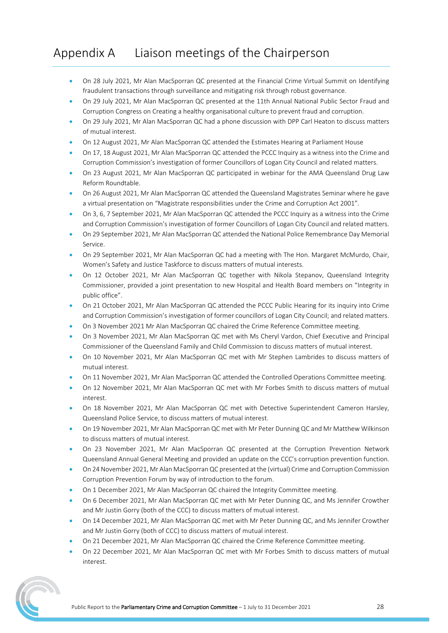## <span id="page-27-0"></span>Appendix A Liaison meetings of the Chairperson

- On 28 July 2021, Mr Alan MacSporran QC presented at the Financial Crime Virtual Summit on Identifying fraudulent transactions through surveillance and mitigating risk through robust governance.
- On 29 July 2021, Mr Alan MacSporran QC presented at the 11th Annual National Public Sector Fraud and Corruption Congress on Creating a healthy organisational culture to prevent fraud and corruption.
- On 29 July 2021, Mr Alan MacSporran QC had a phone discussion with DPP Carl Heaton to discuss matters of mutual interest.
- On 12 August 2021, Mr Alan MacSporran QC attended the Estimates Hearing at Parliament House
- On 17, 18 August 2021, Mr Alan MacSporran QC attended the PCCC Inquiry as a witness into the Crime and Corruption Commission's investigation of former Councillors of Logan City Council and related matters.
- On 23 August 2021, Mr Alan MacSporran QC participated in webinar for the AMA Queensland Drug Law Reform Roundtable.
- On 26 August 2021, Mr Alan MacSporran QC attended the Queensland Magistrates Seminar where he gave a virtual presentation on "Magistrate responsibilities under the Crime and Corruption Act 2001".
- On 3, 6, 7 September 2021, Mr Alan MacSporran QC attended the PCCC Inquiry as a witness into the Crime and Corruption Commission's investigation of former Councillors of Logan City Council and related matters.
- On 29 September 2021, Mr Alan MacSporran QC attended the National Police Remembrance Day Memorial Service.
- On 29 September 2021, Mr Alan MacSporran QC had a meeting with The Hon. Margaret McMurdo, Chair, Women's Safety and Justice Taskforce to discuss matters of mutual interests.
- On 12 October 2021, Mr Alan MacSporran QC together with Nikola Stepanov, Queensland Integrity Commissioner, provided a joint presentation to new Hospital and Health Board members on "Integrity in public office".
- On 21 October 2021, Mr Alan MacSporran QC attended the PCCC Public Hearing for its inquiry into Crime and Corruption Commission's investigation of former councillors of Logan City Council; and related matters.
- On 3 November 2021 Mr Alan MacSporran QC chaired the Crime Reference Committee meeting.
- On 3 November 2021, Mr Alan MacSporran QC met with Ms Cheryl Vardon, Chief Executive and Principal Commissioner of the Queensland Family and Child Commission to discuss matters of mutual interest.
- On 10 November 2021, Mr Alan MacSporran QC met with Mr Stephen Lambrides to discuss matters of mutual interest.
- On 11 November 2021, Mr Alan MacSporran QC attended the Controlled Operations Committee meeting.
- On 12 November 2021, Mr Alan MacSporran QC met with Mr Forbes Smith to discuss matters of mutual interest.
- On 18 November 2021, Mr Alan MacSporran QC met with Detective Superintendent Cameron Harsley, Queensland Police Service, to discuss matters of mutual interest.
- On 19 November 2021, Mr Alan MacSporran QC met with Mr Peter Dunning QC and Mr Matthew Wilkinson to discuss matters of mutual interest.
- On 23 November 2021, Mr Alan MacSporran QC presented at the Corruption Prevention Network Queensland Annual General Meeting and provided an update on the CCC's corruption prevention function.
- On 24 November 2021, Mr Alan MacSporran QC presented at the (virtual) Crime and Corruption Commission Corruption Prevention Forum by way of introduction to the forum.
- On 1 December 2021, Mr Alan MacSporran QC chaired the Integrity Committee meeting.
- On 6 December 2021, Mr Alan MacSporran QC met with Mr Peter Dunning QC, and Ms Jennifer Crowther and Mr Justin Gorry (both of the CCC) to discuss matters of mutual interest.
- On 14 December 2021, Mr Alan MacSporran QC met with Mr Peter Dunning QC, and Ms Jennifer Crowther and Mr Justin Gorry (both of CCC) to discuss matters of mutual interest.
- On 21 December 2021, Mr Alan MacSporran QC chaired the Crime Reference Committee meeting.
- On 22 December 2021, Mr Alan MacSporran QC met with Mr Forbes Smith to discuss matters of mutual interest.

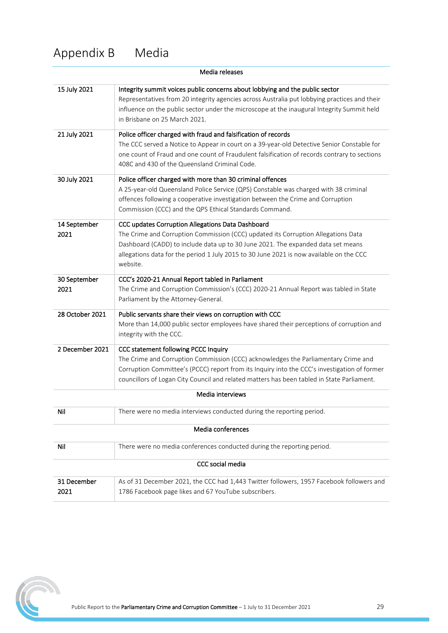## <span id="page-28-0"></span>Appendix B Media

| Media releases       |                                                                                                                                                                                                                                                                                                                                   |  |
|----------------------|-----------------------------------------------------------------------------------------------------------------------------------------------------------------------------------------------------------------------------------------------------------------------------------------------------------------------------------|--|
| 15 July 2021         | Integrity summit voices public concerns about lobbying and the public sector<br>Representatives from 20 integrity agencies across Australia put lobbying practices and their<br>influence on the public sector under the microscope at the inaugural Integrity Summit held<br>in Brisbane on 25 March 2021.                       |  |
| 21 July 2021         | Police officer charged with fraud and falsification of records<br>The CCC served a Notice to Appear in court on a 39-year-old Detective Senior Constable for<br>one count of Fraud and one count of Fraudulent falsification of records contrary to sections<br>408C and 430 of the Queensland Criminal Code.                     |  |
| 30 July 2021         | Police officer charged with more than 30 criminal offences<br>A 25-year-old Queensland Police Service (QPS) Constable was charged with 38 criminal<br>offences following a cooperative investigation between the Crime and Corruption<br>Commission (CCC) and the QPS Ethical Standards Command.                                  |  |
| 14 September<br>2021 | CCC updates Corruption Allegations Data Dashboard<br>The Crime and Corruption Commission (CCC) updated its Corruption Allegations Data<br>Dashboard (CADD) to include data up to 30 June 2021. The expanded data set means<br>allegations data for the period 1 July 2015 to 30 June 2021 is now available on the CCC<br>website. |  |
| 30 September<br>2021 | CCC's 2020-21 Annual Report tabled in Parliament<br>The Crime and Corruption Commission's (CCC) 2020-21 Annual Report was tabled in State<br>Parliament by the Attorney-General.                                                                                                                                                  |  |
| 28 October 2021      | Public servants share their views on corruption with CCC<br>More than 14,000 public sector employees have shared their perceptions of corruption and<br>integrity with the CCC.                                                                                                                                                   |  |
| 2 December 2021      | CCC statement following PCCC Inquiry<br>The Crime and Corruption Commission (CCC) acknowledges the Parliamentary Crime and<br>Corruption Committee's (PCCC) report from its Inquiry into the CCC's investigation of former<br>councillors of Logan City Council and related matters has been tabled in State Parliament.          |  |
|                      | Media interviews                                                                                                                                                                                                                                                                                                                  |  |
| Nil                  | There were no media interviews conducted during the reporting period.                                                                                                                                                                                                                                                             |  |
|                      | Media conferences                                                                                                                                                                                                                                                                                                                 |  |
| Nil                  | There were no media conferences conducted during the reporting period.                                                                                                                                                                                                                                                            |  |
|                      | CCC social media                                                                                                                                                                                                                                                                                                                  |  |
| 31 December          | As of 31 December 2021, the CCC had 1,443 Twitter followers, 1957 Facebook followers and                                                                                                                                                                                                                                          |  |



2021

1786 Facebook page likes and 67 YouTube subscribers.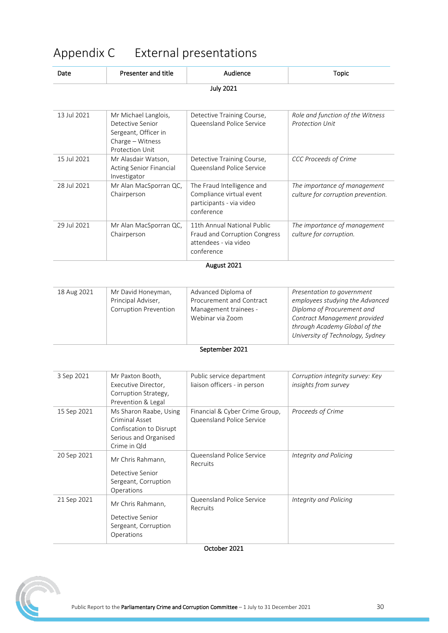## <span id="page-29-0"></span>Appendix C External presentations

| Date             | Presenter and title                                                                                            | Audience                                                                                            | <b>Topic</b>                                                                                                                                                                                     |  |
|------------------|----------------------------------------------------------------------------------------------------------------|-----------------------------------------------------------------------------------------------------|--------------------------------------------------------------------------------------------------------------------------------------------------------------------------------------------------|--|
| <b>July 2021</b> |                                                                                                                |                                                                                                     |                                                                                                                                                                                                  |  |
|                  |                                                                                                                |                                                                                                     |                                                                                                                                                                                                  |  |
| 13 Jul 2021      | Mr Michael Langlois,<br>Detective Senior<br>Sergeant, Officer in<br>Charge - Witness<br><b>Protection Unit</b> | Detective Training Course,<br>Queensland Police Service                                             | Role and function of the Witness<br>Protection Unit                                                                                                                                              |  |
| 15 Jul 2021      | Mr Alasdair Watson,<br>Acting Senior Financial<br>Investigator                                                 | Detective Training Course,<br>Queensland Police Service                                             | CCC Proceeds of Crime                                                                                                                                                                            |  |
| 28 Jul 2021      | Mr Alan MacSporran QC,<br>Chairperson                                                                          | The Fraud Intelligence and<br>Compliance virtual event<br>participants - via video<br>conference    | The importance of management<br>culture for corruption prevention.                                                                                                                               |  |
| 29 Jul 2021      | Mr Alan MacSporran QC,<br>Chairperson                                                                          | 11th Annual National Public<br>Fraud and Corruption Congress<br>attendees - via video<br>conference | The importance of management<br>culture for corruption.                                                                                                                                          |  |
|                  |                                                                                                                | August 2021                                                                                         |                                                                                                                                                                                                  |  |
| 18 Aug 2021      | Mr David Honeyman,<br>Principal Adviser,<br>Corruption Prevention                                              | Advanced Diploma of<br>Procurement and Contract<br>Management trainees -<br>Webinar via Zoom        | Presentation to government<br>employees studying the Advanced<br>Diploma of Procurement and<br>Contract Management provided<br>through Academy Global of the<br>University of Technology, Sydney |  |

#### September 2021

| 3 Sep 2021  | Mr Paxton Booth,<br>Executive Director,<br>Corruption Strategy,<br>Prevention & Legal                        | Public service department<br>liaison officers - in person   | Corruption integrity survey: Key<br>insights from survey |
|-------------|--------------------------------------------------------------------------------------------------------------|-------------------------------------------------------------|----------------------------------------------------------|
| 15 Sep 2021 | Ms Sharon Raabe, Using<br>Criminal Asset<br>Confiscation to Disrupt<br>Serious and Organised<br>Crime in Old | Financial & Cyber Crime Group,<br>Queensland Police Service | Proceeds of Crime                                        |
| 20 Sep 2021 | Mr Chris Rahmann,<br>Detective Senior<br>Sergeant, Corruption<br>Operations                                  | Queensland Police Service<br>Recruits                       | Integrity and Policing                                   |
| 21 Sep 2021 | Mr Chris Rahmann,<br>Detective Senior<br>Sergeant, Corruption<br>Operations                                  | Queensland Police Service<br>Recruits                       | Integrity and Policing                                   |



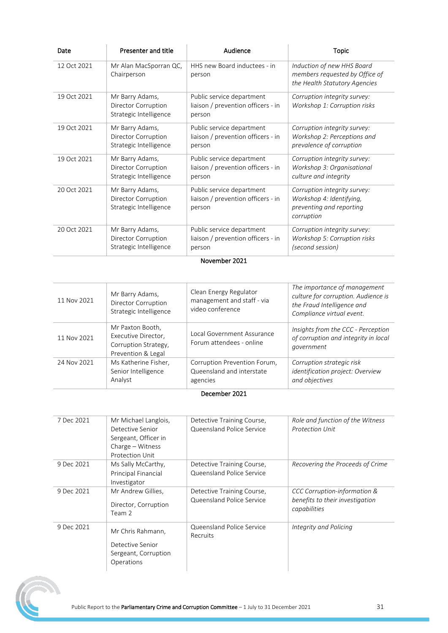| Date        | Presenter and title                                              | Audience                                                                  | Topic                                                                                              |
|-------------|------------------------------------------------------------------|---------------------------------------------------------------------------|----------------------------------------------------------------------------------------------------|
| 12 Oct 2021 | Mr Alan MacSporran QC,<br>Chairperson                            | HHS new Board inductees - in<br>person                                    | Induction of new HHS Board<br>members requested by Office of<br>the Health Statutory Agencies      |
| 19 Oct 2021 | Mr Barry Adams,<br>Director Corruption<br>Strategic Intelligence | Public service department<br>liaison / prevention officers - in<br>person | Corruption integrity survey:<br>Workshop 1: Corruption risks                                       |
| 19 Oct 2021 | Mr Barry Adams,<br>Director Corruption<br>Strategic Intelligence | Public service department<br>liaison / prevention officers - in<br>person | Corruption integrity survey:<br>Workshop 2: Perceptions and<br>prevalence of corruption            |
| 19 Oct 2021 | Mr Barry Adams,<br>Director Corruption<br>Strategic Intelligence | Public service department<br>liaison / prevention officers - in<br>person | Corruption integrity survey:<br>Workshop 3: Organisational<br>culture and integrity                |
| 20 Oct 2021 | Mr Barry Adams,<br>Director Corruption<br>Strategic Intelligence | Public service department<br>liaison / prevention officers - in<br>person | Corruption integrity survey:<br>Workshop 4: Identifying,<br>preventing and reporting<br>corruption |
| 20 Oct 2021 | Mr Barry Adams,<br>Director Corruption<br>Strategic Intelligence | Public service department<br>liaison / prevention officers - in<br>person | Corruption integrity survey:<br>Workshop 5: Corruption risks<br>(second session)                   |

November 2021

| 11 Nov 2021 | Mr Barry Adams,<br>Director Corruption<br>Strategic Intelligence                      | Clean Energy Regulator<br>management and staff - via<br>video conference | The importance of management<br>culture for corruption. Audience is<br>the Fraud Intelligence and<br>Compliance virtual event. |
|-------------|---------------------------------------------------------------------------------------|--------------------------------------------------------------------------|--------------------------------------------------------------------------------------------------------------------------------|
| 11 Nov 2021 | Mr Paxton Booth,<br>Executive Director,<br>Corruption Strategy,<br>Prevention & Legal | Local Government Assurance<br>Forum attendees - online                   | Insights from the CCC - Perception<br>of corruption and integrity in local<br>government                                       |
| 24 Nov 2021 | Ms Katherine Fisher,<br>Senior Intelligence<br>Analyst                                | Corruption Prevention Forum,<br>Queensland and interstate<br>agencies    | Corruption strategic risk<br>identification project: Overview<br>and objectives                                                |

#### December 2021

| 7 Dec 2021 | Mr Michael Langlois,<br>Detective Senior<br>Sergeant, Officer in<br>Charge – Witness<br>Protection Unit | Detective Training Course,<br>Queensland Police Service | Role and function of the Witness<br>Protection Unit                             |
|------------|---------------------------------------------------------------------------------------------------------|---------------------------------------------------------|---------------------------------------------------------------------------------|
| 9 Dec 2021 | Ms Sally McCarthy,<br><b>Principal Financial</b><br>Investigator                                        | Detective Training Course,<br>Queensland Police Service | Recovering the Proceeds of Crime                                                |
| 9 Dec 2021 | Mr Andrew Gillies,<br>Director, Corruption<br>Team 2                                                    | Detective Training Course,<br>Queensland Police Service | CCC Corruption-information &<br>benefits to their investigation<br>capabilities |
| 9 Dec 2021 | Mr Chris Rahmann,<br>Detective Senior<br>Sergeant, Corruption<br>Operations                             | Queensland Police Service<br>Recruits                   | Integrity and Policing                                                          |

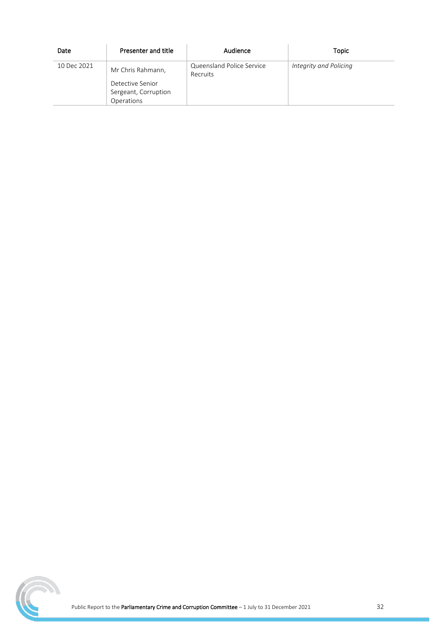| Date        | Presenter and title                                                         | Audience                              | Topic                  |
|-------------|-----------------------------------------------------------------------------|---------------------------------------|------------------------|
| 10 Dec 2021 | Mr Chris Rahmann,<br>Detective Senior<br>Sergeant, Corruption<br>Operations | Queensland Police Service<br>Recruits | Integrity and Policing |